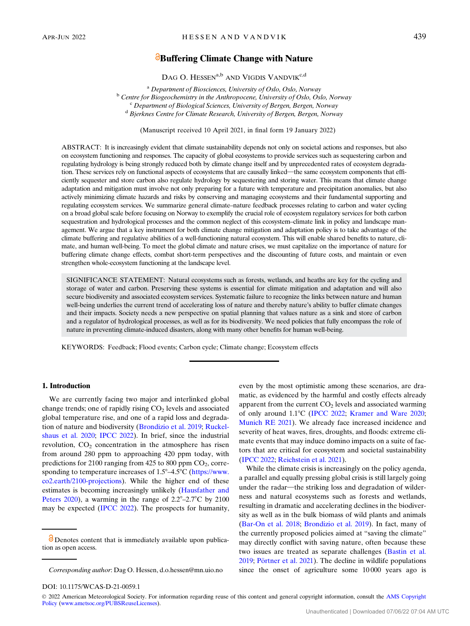# **Buffering Climate Change with Nature**

DAG O. HESSEN<sup>a,b</sup> AND VIGDIS VANDVIK<sup>c,d</sup>

<sup>a</sup> Department of Biosciences, University of Oslo, Oslo, Norway<br><sup>b</sup> Centre for Biogeochemistry in the Anthropocene, University of Oslo, Oslo, Norway<br><sup>c</sup> Department of Biological Sciences, University of Bergen, Bergen, Nor

(Manuscript received 10 April 2021, in final form 19 January 2022)

ABSTRACT: It is increasingly evident that climate sustainability depends not only on societal actions and responses, but also on ecosystem functioning and responses. The capacity of global ecosystems to provide services such as sequestering carbon and regulating hydrology is being strongly reduced both by climate change itself and by unprecedented rates of ecosystem degradation. These services rely on functional aspects of ecosystems that are causally linked—the same ecosystem components that efficiently sequester and store carbon also regulate hydrology by sequestering and storing water. This means that climate change adaptation and mitigation must involve not only preparing for a future with temperature and precipitation anomalies, but also actively minimizing climate hazards and risks by conserving and managing ecosystems and their fundamental supporting and regulating ecosystem services. We summarize general climate–nature feedback processes relating to carbon and water cycling on a broad global scale before focusing on Norway to exemplify the crucial role of ecosystem regulatory services for both carbon sequestration and hydrological processes and the common neglect of this ecosystem–climate link in policy and landscape management. We argue that a key instrument for both climate change mitigation and adaptation policy is to take advantage of the climate buffering and regulative abilities of a well-functioning natural ecosystem. This will enable shared benefits to nature, climate, and human well-being. To meet the global climate and nature crises, we must capitalize on the importance of nature for buffering climate change effects, combat short-term perspectives and the discounting of future costs, and maintain or even strengthen whole-ecosystem functioning at the landscape level.

SIGNIFICANCE STATEMENT: Natural ecosystems such as forests, wetlands, and heaths are key for the cycling and storage of water and carbon. Preserving these systems is essential for climate mitigation and adaptation and will also secure biodiversity and associated ecosystem services. Systematic failure to recognize the links between nature and human well-being underlies the current trend of accelerating loss of nature and thereby nature's ability to buffer climate changes and their impacts. Society needs a new perspective on spatial planning that values nature as a sink and store of carbon and a regulator of hydrological processes, as well as for its biodiversity. We need policies that fully encompass the role of nature in preventing climate-induced disasters, along with many other benefits for human well-being.

KEYWORDS: Feedback; Flood events; Carbon cycle; Climate change; Ecosystem effects

### 1. Introduction

We are currently facing two major and interlinked global change trends; one of rapidly rising  $CO<sub>2</sub>$  levels and associated global temperature rise, and one of a rapid loss and degradation of nature and biodiversity ([Brondizio et al. 2019](#page-8-0); [Ruckel](#page-10-0)[shaus et al. 2020](#page-10-0); [IPCC 2022](#page-9-0)). In brief, since the industrial revolution,  $CO<sub>2</sub>$  concentration in the atmosphere has risen from around 280 ppm to approaching 420 ppm today, with predictions for 2100 ranging from  $425$  to 800 ppm  $CO<sub>2</sub>$ , corresponding to temperature increases of  $1.5^{\circ}$ -4.5°C [\(https://www.](https://www.co2.earth/2100-projections) [co2.earth/2100-projections\)](https://www.co2.earth/2100-projections). While the higher end of these estimates is becoming increasingly unlikely ([Hausfather and](#page-9-0) [Peters 2020\)](#page-9-0), a warming in the range of  $2.2^{\circ}$ –2.7°C by 2100 may be expected ([IPCC 2022\)](#page-9-0). The prospects for humanity,

even by the most optimistic among these scenarios, are dramatic, as evidenced by the harmful and costly effects already apparent from the current  $CO<sub>2</sub>$  levels and associated warming of only around 1.1°C [\(IPCC 2022](#page-9-0); [Kramer and Ware 2020;](#page-9-0) [Munich RE 2021](#page-10-0)). We already face increased incidence and severity of heat waves, fires, droughts, and floods: extreme climate events that may induce domino impacts on a suite of factors that are critical for ecosystem and societal sustainability ([IPCC 2022](#page-9-0); [Reichstein et al. 2021\)](#page-10-0).

While the climate crisis is increasingly on the policy agenda, a parallel and equally pressing global crisis is still largely going under the radar—the striking loss and degradation of wilderness and natural ecosystems such as forests and wetlands, resulting in dramatic and accelerating declines in the biodiversity as well as in the bulk biomass of wild plants and animals ([Bar-On et al. 2018;](#page-8-0) [Brondizio et al. 2019\)](#page-8-0). In fact, many of the currently proposed policies aimed at "saving the climate" may directly conflict with saving nature, often because these two issues are treated as separate challenges [\(Bastin et al.](#page-8-0)  $2019$ ; Pörtner et al.  $2021$ ). The decline in wildlife populations since the onset of agriculture some 10 000 years ago is

Ó 2022 American Meteorological Society. For information regarding reuse of this content and general copyright information, consult the [AMS Copyright](http://www.ametsoc.org/PUBSReuseLicenses) [Policy](http://www.ametsoc.org/PUBSReuseLicenses) ([www.ametsoc.org/PUBSReuseLicenses\)](http://www.ametsoc.org/PUBSReuseLicenses).

**O** Denotes content that is immediately available upon publication as open access.

Corresponding author: Dag O. Hessen, [d.o.hessen@mn.uio.no](mailto:d.o.hessen@mn.uio.no)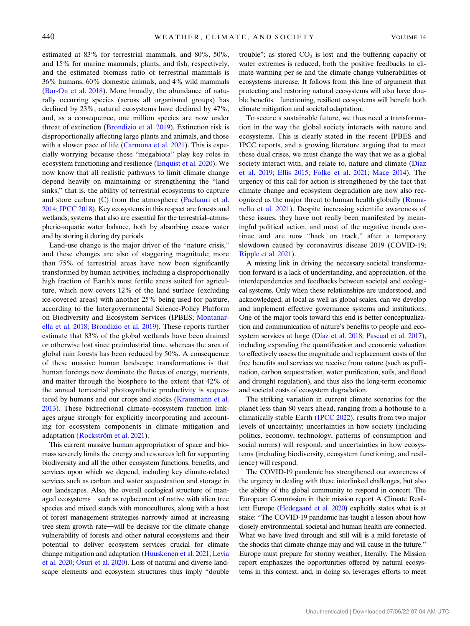estimated at 83% for terrestrial mammals, and 80%, 50%, and 15% for marine mammals, plants, and fish, respectively, and the estimated biomass ratio of terrestrial mammals is 36% humans, 60% domestic animals, and 4% wild mammals [\(Bar-On et al. 2018\)](#page-8-0). More broadly, the abundance of naturally occurring species (across all organismal groups) has declined by 23%, natural ecosystems have declined by 47%, and, as a consequence, one million species are now under threat of extinction [\(Brondizio et al. 2019](#page-8-0)). Extinction risk is disproportionally affecting large plants and animals, and those with a slower pace of life ([Carmona et al. 2021\)](#page-8-0). This is especially worrying because these "megabiota" play key roles in ecosystem functioning and resilience [\(Enquist et al. 2020](#page-9-0)). We now know that all realistic pathways to limit climate change depend heavily on maintaining or strengthening the "land sinks," that is, the ability of terrestrial ecosystems to capture and store carbon (C) from the atmosphere [\(Pachauri et al.](#page-10-0) [2014;](#page-10-0) [IPCC 2018](#page-9-0)). Key ecosystems in this respect are forests and wetlands; systems that also are essential for the terrestrial–atmospheric–aquatic water balance, both by absorbing excess water and by storing it during dry periods.

Land-use change is the major driver of the "nature crisis," and these changes are also of staggering magnitude; more than 75% of terrestrial areas have now been significantly transformed by human activities, including a disproportionally high fraction of Earth's most fertile areas suited for agriculture, which now covers 12% of the land surface (excluding ice-covered areas) with another 25% being used for pasture, according to the Intergovernmental Science-Policy Platform on Biodiversity and Ecosystem Services (IPBES; [Montanar](#page-10-0)[ella et al. 2018](#page-10-0); [Brondizio et al. 2019](#page-8-0)). These reports further estimate that 83% of the global wetlands have been drained or otherwise lost since preindustrial time, whereas the area of global rain forests has been reduced by 50%. A consequence of these massive human landscape transformations is that human forcings now dominate the fluxes of energy, nutrients, and matter through the biosphere to the extent that 42% of the annual terrestrial photosynthetic productivity is seques-tered by humans and our crops and stocks [\(Krausmann et al.](#page-9-0) [2013\)](#page-9-0). These bidirectional climate–ecosystem function linkages argue strongly for explicitly incorporating and accounting for ecosystem components in climate mitigation and adaptation (Rockström et al. 2021).

This current massive human appropriation of space and biomass severely limits the energy and resources left for supporting biodiversity and all the other ecosystem functions, benefits, and services upon which we depend, including key climate-related services such as carbon and water sequestration and storage in our landscapes. Also, the overall ecological structure of managed ecosystems-such as replacement of native with alien tree species and mixed stands with monocultures, along with a host of forest management strategies narrowly aimed at increasing tree stem growth rate-will be decisive for the climate change vulnerability of forests and other natural ecosystems and their potential to deliver ecosystem services crucial for climate change mitigation and adaptation [\(Huuskonen et al. 2021](#page-9-0); [Levia](#page-10-0) [et al. 2020](#page-10-0); [Osuri et al. 2020\)](#page-10-0). Loss of natural and diverse landscape elements and ecosystem structures thus imply "double

trouble"; as stored  $CO<sub>2</sub>$  is lost and the buffering capacity of water extremes is reduced, both the positive feedbacks to climate warming per se and the climate change vulnerabilities of ecosystems increase. It follows from this line of argument that protecting and restoring natural ecosystems will also have double benefits—functioning, resilient ecosystems will benefit both climate mitigation and societal adaptation.

To secure a sustainable future, we thus need a transformation in the way the global society interacts with nature and ecosystems. This is clearly stated in the recent IPBES and IPCC reports, and a growing literature arguing that to meet these dual crises, we must change the way that we as a global society interact with, and relate to, nature and climate (Dí[az](#page-9-0) [et al. 2019;](#page-9-0) [Ellis 2015;](#page-9-0) [Folke et al. 2021](#page-9-0); [Mace 2014](#page-10-0)). The urgency of this call for action is strengthened by the fact that climate change and ecosystem degradation are now also recognized as the major threat to human health globally ([Roma](#page-10-0)[nello et al. 2021\)](#page-10-0). Despite increasing scientific awareness of these issues, they have not really been manifested by meaningful political action, and most of the negative trends continue and are now "back on track," after a temporary slowdown caused by coronavirus disease 2019 (COVID-19; [Ripple et al. 2021\)](#page-10-0).

A missing link in driving the necessary societal transformation forward is a lack of understanding, and appreciation, of the interdependencies and feedbacks between societal and ecological systems. Only when these relationships are understood, and acknowledged, at local as well as global scales, can we develop and implement effective governance systems and institutions. One of the major tools toward this end is better conceptualization and communication of nature's benefits to people and ecosystem services at large (Dí[az et al. 2018;](#page-9-0) [Pascual et al. 2017\)](#page-10-0), including expanding the quantification and economic valuation to effectively assess the magnitude and replacement costs of the free benefits and services we receive from nature (such as pollination, carbon sequestration, water purification, soils, and flood and drought regulation), and thus also the long-term economic and societal costs of ecosystem degradation.

The striking variation in current climate scenarios for the planet less than 80 years ahead, ranging from a hothouse to a climatically stable Earth ([IPCC 2022\)](#page-9-0), results from two major levels of uncertainty; uncertainties in how society (including politics, economy, technology, patterns of consumption and social norms) will respond, and uncertainties in how ecosystems (including biodiversity, ecosystem functioning, and resilience) will respond.

The COVID-19 pandemic has strengthened our awareness of the urgency in dealing with these interlinked challenges, but also the ability of the global community to respond in concert. The European Commission in their mission report A Climate Resilient Europe [\(Hedegaard et al. 2020](#page-9-0)) explicitly states what is at stake: "The COVID-19 pandemic has taught a lesson about how closely environmental, societal and human health are connected. What we have lived through and still will is a mild foretaste of the shocks that climate change may and will cause in the future." Europe must prepare for stormy weather, literally. The Mission report emphasizes the opportunities offered by natural ecosystems in this context, and, in doing so, leverages efforts to meet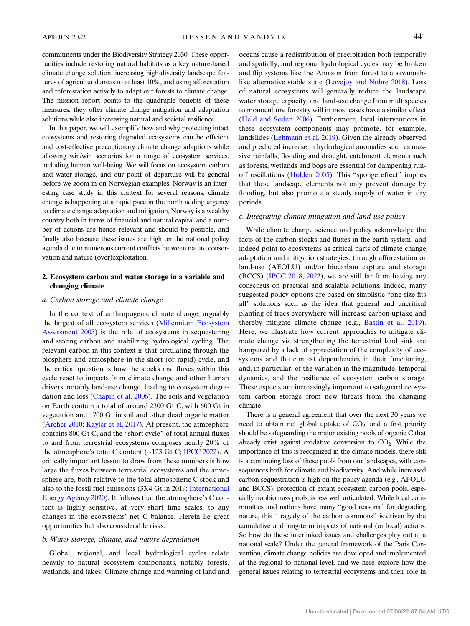commitments under the Biodiversity Strategy 2030. These opportunities include restoring natural habitats as a key nature-based climate change solution, increasing high-diversity landscape features of agricultural areas to at least 10%, and using afforestation and reforestation actively to adapt our forests to climate change. The mission report points to the quadruple benefits of these measures: they offer climate change mitigation and adaptation solutions while also increasing natural and societal resilience.

In this paper, we will exemplify how and why protecting intact ecosystems and restoring degraded ecosystems can be efficient and cost-effective precautionary climate change adaptions while allowing win/win scenarios for a range of ecosystem services, including human well-being. We will focus on ecosystem carbon and water storage, and our point of departure will be general before we zoom in on Norwegian examples. Norway is an interesting case study in this context for several reasons; climate change is happening at a rapid pace in the north adding urgency to climate change adaptation and mitigation, Norway is a wealthy country both in terms of financial and natural capital and a number of actions are hence relevant and should be possible, and finally also because these issues are high on the national policy agenda due to numerous current conflicts between nature conservation and nature (over)exploitation.

# 2. Ecosystem carbon and water storage in a variable and changing climate

### a. Carbon storage and climate change

In the context of anthropogenic climate change, arguably the largest of all ecosystem services ([Millennium Ecosystem](#page-10-0) [Assessment 2005](#page-10-0)) is the role of ecosystems in sequestering and storing carbon and stabilizing hydrological cycling. The relevant carbon in this context is that circulating through the biosphere and atmosphere in the short (or rapid) cycle, and the critical question is how the stocks and fluxes within this cycle react to impacts from climate change and other human drivers, notably land-use change, leading to ecosystem degradation and loss [\(Chapin et al. 2006\)](#page-9-0). The soils and vegetation on Earth contain a total of around 2300 Gt C, with 600 Gt in vegetation and 1700 Gt in soil and other dead organic matter [\(Archer 2010](#page-8-0); [Kayler et al. 2017](#page-9-0)). At present, the atmosphere contains 800 Gt C, and the "short cycle" of total annual fluxes to and from terrestrial ecosystems composes nearly 20% of the atmosphere's total C content (∼123 Gt C; [IPCC 2022](#page-9-0)). A critically important lesson to draw from these numbers is how large the fluxes between terrestrial ecosystems and the atmosphere are, both relative to the total atmospheric C stock and also to the fossil fuel emissions (33.4 Gt in 2019; [International](#page-9-0) [Energy Agency 2020\)](#page-9-0). It follows that the atmosphere's C content is highly sensitive, at very short time scales, to any changes in the ecosystems' net C balance. Herein lie great opportunities but also considerable risks.

### b. Water storage, climate, and nature degradation

Global, regional, and local hydrological cycles relate heavily to natural ecosystem components, notably forests, wetlands, and lakes. Climate change and warming of land and oceans cause a redistribution of precipitation both temporally and spatially, and regional hydrological cycles may be broken and flip systems like the Amazon from forest to a savannahlike alternative stable state ([Lovejoy and Nobre 2018\)](#page-10-0). Loss of natural ecosystems will generally reduce the landscape water storage capacity, and land-use change from multispecies to monoculture forestry will in most cases have a similar effect ([Held and Soden 2006](#page-9-0)). Furthermore, local interventions in these ecosystem components may promote, for example, landslides [\(Lehmann et al. 2019\)](#page-10-0). Given the already observed and predicted increase in hydrological anomalies such as massive rainfalls, flooding and drought, catchment elements such as forests, wetlands and bogs are essential for dampening runoff oscillations ([Holden 2005\)](#page-9-0). This "sponge effect" implies that these landscape elements not only prevent damage by flooding, but also promote a steady supply of water in dry periods.

## c. Integrating climate mitigation and land-use policy

While climate change science and policy acknowledge the facts of the carbon stocks and fluxes in the earth system, and indeed point to ecosystems as critical parts of climate change adaptation and mitigation strategies, through afforestation or land-use (AFOLU) and/or biocarbon capture and storage (BCCS) [\(IPCC 2018,](#page-9-0) [2022\)](#page-9-0), we are still far from having any consensus on practical and scalable solutions. Indeed, many suggested policy options are based on simplistic "one size fits all" solutions such as the idea that general and uncritical planting of trees everywhere will increase carbon uptake and thereby mitigate climate change (e.g., [Bastin et al. 2019\)](#page-8-0). Here, we illustrate how current approaches to mitigate climate change via strengthening the terrestrial land sink are hampered by a lack of appreciation of the complexity of ecosystems and the context dependencies in their functioning, and, in particular, of the variation in the magnitude, temporal dynamics, and the resilience of ecosystem carbon storage. These aspects are increasingly important to safeguard ecosystem carbon storage from new threats from the changing climate.

There is a general agreement that over the next 30 years we need to obtain net global uptake of  $CO<sub>2</sub>$ , and a first priority should be safeguarding the major existing pools of organic C that already exist against oxidative conversion to  $CO<sub>2</sub>$ . While the importance of this is recognized in the climate models, there still is a continuing loss of these pools from our landscapes, with consequences both for climate and biodiversity. And while increased carbon sequestration is high on the policy agenda (e.g., AFOLU and BCCS), protection of extant ecosystem carbon pools, especially nonbiomass pools, is less well articulated. While local communities and nations have many "good reasons" for degrading nature, this "tragedy of the carbon commons" is driven by the cumulative and long-term impacts of national (or local) actions. So how do these interlinked issues and challenges play out at a national scale? Under the general framework of the Paris Convention, climate change policies are developed and implemented at the regional to national level, and we here explore how the general issues relating to terrestrial ecosystems and their role in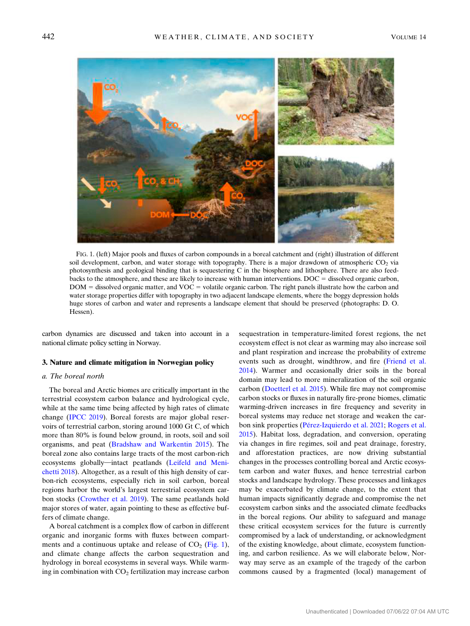

FIG. 1. (left) Major pools and fluxes of carbon compounds in a boreal catchment and (right) illustration of different soil development, carbon, and water storage with topography. There is a major drawdown of atmospheric  $CO<sub>2</sub>$  via photosynthesis and geological binding that is sequestering C in the biosphere and lithosphere. There are also feedbacks to the atmosphere, and these are likely to increase with human interventions.  $DOC =$  dissolved organic carbon,  $DOM =$  dissolved organic matter, and  $VOC =$  volatile organic carbon. The right panels illustrate how the carbon and water storage properties differ with topography in two adjacent landscape elements, where the boggy depression holds huge stores of carbon and water and represents a landscape element that should be preserved (photographs: D. O. Hessen).

carbon dynamics are discussed and taken into account in a national climate policy setting in Norway.

### 3. Nature and climate mitigation in Norwegian policy

# a. The boreal north

The boreal and Arctic biomes are critically important in the terrestrial ecosystem carbon balance and hydrological cycle, while at the same time being affected by high rates of climate change [\(IPCC 2019](#page-9-0)). Boreal forests are major global reservoirs of terrestrial carbon, storing around 1000 Gt C, of which more than 80% is found below ground, in roots, soil and soil organisms, and peat ([Bradshaw and Warkentin 2015\)](#page-8-0). The boreal zone also contains large tracts of the most carbon-rich ecosystems globally—intact peatlands ([Leifeld and Meni](#page-10-0)[chetti 2018](#page-10-0)). Altogether, as a result of this high density of carbon-rich ecosystems, especially rich in soil carbon, boreal regions harbor the world's largest terrestrial ecosystem carbon stocks ([Crowther et al. 2019\)](#page-9-0). The same peatlands hold major stores of water, again pointing to these as effective buffers of climate change.

A boreal catchment is a complex flow of carbon in different organic and inorganic forms with fluxes between compartments and a continuous uptake and release of  $CO<sub>2</sub>$  (Fig. 1), and climate change affects the carbon sequestration and hydrology in boreal ecosystems in several ways. While warming in combination with  $CO<sub>2</sub>$  fertilization may increase carbon

sequestration in temperature-limited forest regions, the net ecosystem effect is not clear as warming may also increase soil and plant respiration and increase the probability of extreme events such as drought, windthrow, and fire ([Friend et al.](#page-9-0) [2014](#page-9-0)). Warmer and occasionally drier soils in the boreal domain may lead to more mineralization of the soil organic carbon [\(Doetterl et al. 2015](#page-9-0)). While fire may not compromise carbon stocks or fluxes in naturally fire-prone biomes, climatic warming-driven increases in fire frequency and severity in boreal systems may reduce net storage and weaken the car-bon sink properties (Pérez-Izquierdo et al. 2021; [Rogers et al.](#page-10-0) [2015](#page-10-0)). Habitat loss, degradation, and conversion, operating via changes in fire regimes, soil and peat drainage, forestry, and afforestation practices, are now driving substantial changes in the processes controlling boreal and Arctic ecosystem carbon and water fluxes, and hence terrestrial carbon stocks and landscape hydrology. These processes and linkages may be exacerbated by climate change, to the extent that human impacts significantly degrade and compromise the net ecosystem carbon sinks and the associated climate feedbacks in the boreal regions. Our ability to safeguard and manage these critical ecosystem services for the future is currently compromised by a lack of understanding, or acknowledgment of the existing knowledge, about climate, ecosystem functioning, and carbon resilience. As we will elaborate below, Norway may serve as an example of the tragedy of the carbon commons caused by a fragmented (local) management of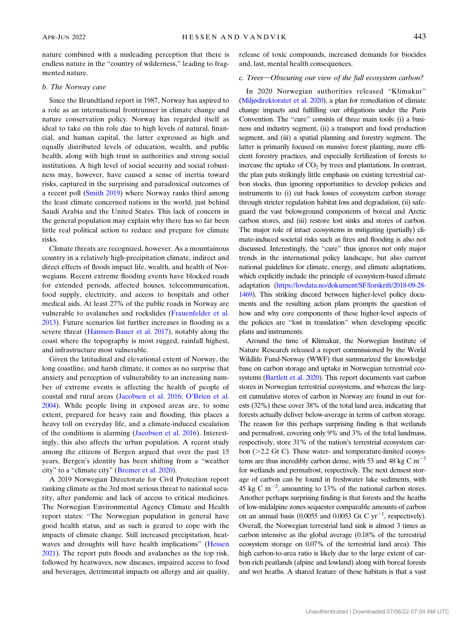nature combined with a misleading perception that there is endless nature in the "country of wilderness," leading to fragmented nature.

#### b. The Norway case

Since the Brundtland report in 1987, Norway has aspired to a role as an international frontrunner in climate change and nature conservation policy. Norway has regarded itself as ideal to take on this role due to high levels of natural, financial, and human capital, the latter expressed as high and equally distributed levels of education, wealth, and public health, along with high trust in authorities and strong social institutions. A high level of social security and social robustness may, however, have caused a sense of inertia toward risks, captured in the surprising and paradoxical outcomes of a recent poll ([Smith 2019\)](#page-10-0) where Norway ranks third among the least climate concerned nations in the world, just behind Saudi Arabia and the United States. This lack of concern in the general population may explain why there has so far been little real political action to reduce and prepare for climate risks.

Climate threats are recognized, however. As a mountainous country in a relatively high-precipitation climate, indirect and direct effects of floods impact life, wealth, and health of Norwegians. Recent extreme flooding events have blocked roads for extended periods, affected houses, telecommunication, food supply, electricity, and access to hospitals and other medical aids. At least 27% of the public roads in Norway are vulnerable to avalanches and rockslides ([Frauenfelder et al.](#page-9-0) [2013\)](#page-9-0). Future scenarios list further increases in flooding as a severe threat [\(Hanssen-Bauer et al. 2017\)](#page-9-0), notably along the coast where the topography is most rugged, rainfall highest, and infrastructure most vulnerable.

Given the latitudinal and elevational extent of Norway, the long coastline, and harsh climate, it comes as no surprise that anxiety and perception of vulnerability to an increasing number of extreme events is affecting the health of people of coastal and rural areas [\(Jacobsen et al. 2016;](#page-9-0) O'[Brien et al.](#page-10-0) [2004\)](#page-10-0). While people living in exposed areas are, to some extent, prepared for heavy rain and flooding, this places a heavy toll on everyday life, and a climate-induced escalation of the conditions is alarming [\(Jacobsen et al. 2016](#page-9-0)). Interestingly, this also affects the urban population. A recent study among the citizens of Bergen argued that over the past 15 years, Bergen's identity has been shifting from a "weather city" to a "climate city" ([Bremer et al. 2020](#page-8-0)).

A 2019 Norwegian Directorate for Civil Protection report ranking climate as the 3rd most serious threat to national security, after pandemic and lack of access to critical medicines. The Norwegian Environmental Agency Climate and Health report states: "The Norwegian population in general have good health status, and as such is geared to cope with the impacts of climate change. Still increased precipitation, heatwaves and droughts will have health implications" [\(Hessen](#page-9-0) [2021](#page-9-0)). The report puts floods and avalanches as the top risk, followed by heatwaves, new diseases, impaired access to food and beverages, detrimental impacts on allergy and air quality,

release of toxic compounds, increased demands for biocides and, last, mental health consequences.

# c. Trees-Obscuring our view of the full ecosystem carbon?

In 2020 Norwegian authorities released "Klimakur" [\(Miljødirektoratet et al. 2020\)](#page-10-0), a plan for remediation of climate change impacts and fulfilling our obligations under the Paris Convention. The "cure" consists of three main tools: (i) a business and industry segment, (ii) a transport and food production segment, and (iii) a spatial planning and forestry segment. The latter is primarily focused on massive forest planting, more efficient forestry practices, and especially fertilization of forests to increase the uptake of  $CO<sub>2</sub>$  by trees and plantations. In contrast, the plan puts strikingly little emphasis on existing terrestrial carbon stocks, thus ignoring opportunities to develop policies and instruments to (i) cut back losses of ecosystem carbon storage through stricter regulation habitat loss and degradation, (ii) safeguard the vast belowground components of boreal and Arctic carbon stores, and (iii) restore lost sinks and stores of carbon. The major role of intact ecosystems in mitigating (partially) climate-induced societal risks such as fires and flooding is also not discussed. Interestingly, the "cure" thus ignores not only major trends in the international policy landscape, but also current national guidelines for climate, energy, and climate adaptations, which explicitly include the principle of ecosystem-based climate adaptation ([https://lovdata.no/dokument/SF/forskrift/2018-09-28-](https://lovdata.no/dokument/SF/forskrift/2018-09-28-1469) [1469](https://lovdata.no/dokument/SF/forskrift/2018-09-28-1469)). This striking discord between higher-level policy documents and the resulting action plans prompts the question of how and why core components of these higher-level aspects of the policies are "lost in translation" when developing specific plans and instruments.

Around the time of Klimakur, the Norwegian Institute of Nature Research released a report commissioned by the World Wildlife Fund-Norway (WWF) that summarized the knowledge base on carbon storage and uptake in Norwegian terrestrial ecosystems [\(Bartlett et al. 2020\)](#page-8-0). This report documents vast carbon stores in Norwegian terrestrial ecosystems, and whereas the largest cumulative stores of carbon in Norway are found in our forests (32%) these cover 38% of the total land area, indicating that forests actually deliver below-average in terms of carbon storage. The reason for this perhaps surprising finding is that wetlands and permafrost, covering only 9% and 3% of the total landmass, respectively, store 31% of the nation's terrestrial ecosystem carbon  $(>=2.2$  Gt C). These water- and temperature-limited ecosystems are thus incredibly carbon dense, with 53 and 48 kg C  $m^{-2}$ for wetlands and permafrost, respectively. The next densest storage of carbon can be found in freshwater lake sediments, with 45 kg C m<sup> $-2$ </sup>, amounting to 13% of the national carbon stores. Another perhaps surprising finding is that forests and the heaths of low-midalpine zones sequester comparable amounts of carbon on an annual basis (0.0055 and 0.0053 Gt C  $yr^{-1}$ , respectively). Overall, the Norwegian terrestrial land sink is almost 3 times as carbon intensive as the global average (0.18% of the terrestrial ecosystem storage on 0.07% of the terrestrial land area). This high carbon-to-area ratio is likely due to the large extent of carbon-rich peatlands (alpine and lowland) along with boreal forests and wet heaths. A shared feature of these habitats is that a vast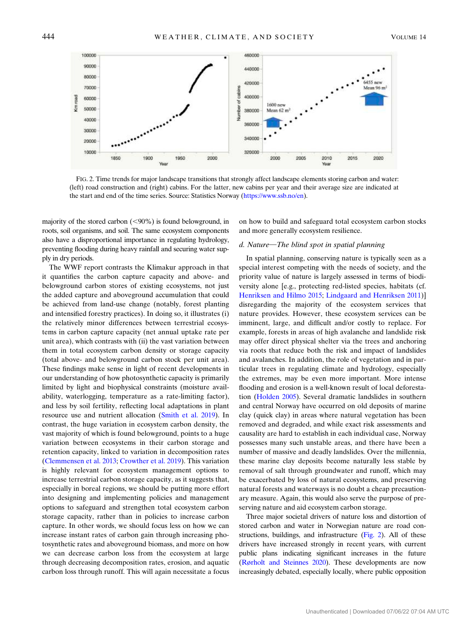

FIG. 2. Time trends for major landscape transitions that strongly affect landscape elements storing carbon and water: (left) road construction and (right) cabins. For the latter, new cabins per year and their average size are indicated at the start and end of the time series. Source: Statistics Norway (<https://www.ssb.no/en>).

majority of the stored carbon  $(<,90\%)$  is found belowground, in roots, soil organisms, and soil. The same ecosystem components also have a disproportional importance in regulating hydrology, preventing flooding during heavy rainfall and securing water supply in dry periods.

The WWF report contrasts the Klimakur approach in that it quantifies the carbon capture capacity and above- and belowground carbon stores of existing ecosystems, not just the added capture and aboveground accumulation that could be achieved from land-use change (notably, forest planting and intensified forestry practices). In doing so, it illustrates (i) the relatively minor differences between terrestrial ecosystems in carbon capture capacity (net annual uptake rate per unit area), which contrasts with (ii) the vast variation between them in total ecosystem carbon density or storage capacity (total above- and belowground carbon stock per unit area). These findings make sense in light of recent developments in our understanding of how photosynthetic capacity is primarily limited by light and biophysical constraints (moisture availability, waterlogging, temperature as a rate-limiting factor), and less by soil fertility, reflecting local adaptations in plant resource use and nutrient allocation ([Smith et al. 2019](#page-10-0)). In contrast, the huge variation in ecosystem carbon density, the vast majority of which is found belowground, points to a huge variation between ecosystems in their carbon storage and retention capacity, linked to variation in decomposition rates [\(Clemmensen et al. 2013](#page-9-0); [Crowther et al. 2019](#page-9-0)). This variation is highly relevant for ecosystem management options to increase terrestrial carbon storage capacity, as it suggests that, especially in boreal regions, we should be putting more effort into designing and implementing policies and management options to safeguard and strengthen total ecosystem carbon storage capacity, rather than in policies to increase carbon capture. In other words, we should focus less on how we can increase instant rates of carbon gain through increasing photosynthetic rates and aboveground biomass, and more on how we can decrease carbon loss from the ecosystem at large through decreasing decomposition rates, erosion, and aquatic carbon loss through runoff. This will again necessitate a focus

on how to build and safeguard total ecosystem carbon stocks and more generally ecosystem resilience.

### $d.$  Nature—The blind spot in spatial planning

In spatial planning, conserving nature is typically seen as a special interest competing with the needs of society, and the priority value of nature is largely assessed in terms of biodiversity alone [e.g., protecting red-listed species, habitats (cf. [Henriksen and Hilmo 2015;](#page-9-0) [Lindgaard and Henriksen 2011\)](#page-10-0)] disregarding the majority of the ecosystem services that nature provides. However, these ecosystem services can be imminent, large, and difficult and/or costly to replace. For example, forests in areas of high avalanche and landslide risk may offer direct physical shelter via the trees and anchoring via roots that reduce both the risk and impact of landslides and avalanches. In addition, the role of vegetation and in particular trees in regulating climate and hydrology, especially the extremes, may be even more important. More intense flooding and erosion is a well-known result of local deforestation ([Holden 2005](#page-9-0)). Several dramatic landslides in southern and central Norway have occurred on old deposits of marine clay (quick clay) in areas where natural vegetation has been removed and degraded, and while exact risk assessments and causality are hard to establish in each individual case, Norway possesses many such unstable areas, and there have been a number of massive and deadly landslides. Over the millennia, these marine clay deposits become naturally less stable by removal of salt through groundwater and runoff, which may be exacerbated by loss of natural ecosystems, and preserving natural forests and waterways is no doubt a cheap precautionary measure. Again, this would also serve the purpose of preserving nature and aid ecosystem carbon storage.

Three major societal drivers of nature loss and distortion of stored carbon and water in Norwegian nature are road constructions, buildings, and infrastructure (Fig. 2). All of these drivers have increased strongly in recent years, with current public plans indicating significant increases in the future ([Rørholt and Steinnes 2020](#page-10-0)). These developments are now increasingly debated, especially locally, where public opposition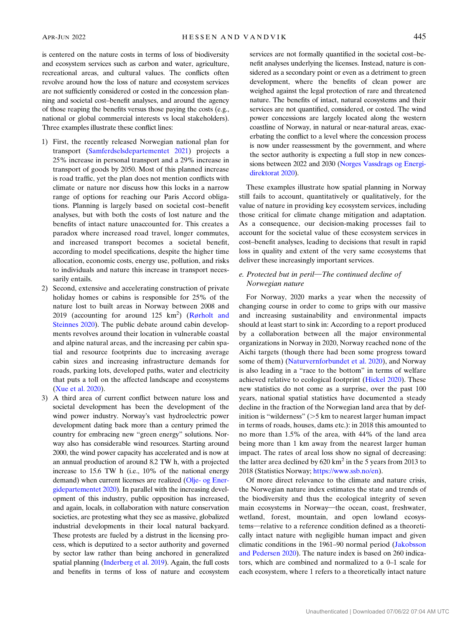is centered on the nature costs in terms of loss of biodiversity and ecosystem services such as carbon and water, agriculture, recreational areas, and cultural values. The conflicts often revolve around how the loss of nature and ecosystem services are not sufficiently considered or costed in the concession planning and societal cost–benefit analyses, and around the agency of those reaping the benefits versus those paying the costs (e.g., national or global commercial interests vs local stakeholders). Three examples illustrate these conflict lines:

- 1) First, the recently released Norwegian national plan for transport ([Samferdselsdepartementet 2021](#page-10-0)) projects a 25% increase in personal transport and a 29% increase in transport of goods by 2050. Most of this planned increase is road traffic, yet the plan does not mention conflicts with climate or nature nor discuss how this locks in a narrow range of options for reaching our Paris Accord obligations. Planning is largely based on societal cost–benefit analyses, but with both the costs of lost nature and the benefits of intact nature unaccounted for. This creates a paradox where increased road travel, longer commutes, and increased transport becomes a societal benefit, according to model specifications, despite the higher time allocation, economic costs, energy use, pollution, and risks to individuals and nature this increase in transport necessarily entails.
- 2) Second, extensive and accelerating construction of private holiday homes or cabins is responsible for 25% of the nature lost to built areas in Norway between 2008 and 2019 (accounting for around 125  $\text{km}^2$ ) [\(Rørholt and](#page-10-0) [Steinnes 2020](#page-10-0)). The public debate around cabin developments revolves around their location in vulnerable coastal and alpine natural areas, and the increasing per cabin spatial and resource footprints due to increasing average cabin sizes and increasing infrastructure demands for roads, parking lots, developed paths, water and electricity that puts a toll on the affected landscape and ecosystems [\(Xue et al. 2020\)](#page-11-0).
- 3) A third area of current conflict between nature loss and societal development has been the development of the wind power industry. Norway's vast hydroelectric power development dating back more than a century primed the country for embracing new "green energy" solutions. Norway also has considerable wind resources. Starting around 2000, the wind power capacity has accelerated and is now at an annual production of around 8.2 TW h, with a projected increase to 15.6 TW h (i.e., 10% of the national energy demand) when current licenses are realized [\(Olje- og Ener](#page-10-0)[gidepartementet 2020](#page-10-0)). In parallel with the increasing development of this industry, public opposition has increased, and again, locals, in collaboration with nature conservation societies, are protesting what they see as massive, globalized industrial developments in their local natural backyard. These protests are fueled by a distrust in the licensing process, which is deputized to a sector authority and governed by sector law rather than being anchored in generalized spatial planning [\(Inderberg et al. 2019](#page-9-0)). Again, the full costs and benefits in terms of loss of nature and ecosystem

services are not formally quantified in the societal cost–benefit analyses underlying the licenses. Instead, nature is considered as a secondary point or even as a detriment to green development, where the benefits of clean power are weighed against the legal protection of rare and threatened nature. The benefits of intact, natural ecosystems and their services are not quantified, considered, or costed. The wind power concessions are largely located along the western coastline of Norway, in natural or near-natural areas, exacerbating the conflict to a level where the concession process is now under reassessment by the government, and where the sector authority is expecting a full stop in new concessions between 2022 and 2030 [\(Norges Vassdrags og Energi](#page-10-0)[direktorat 2020](#page-10-0)).

These examples illustrate how spatial planning in Norway still fails to account, quantitatively or qualitatively, for the value of nature in providing key ecosystem services, including those critical for climate change mitigation and adaptation. As a consequence, our decision-making processes fail to account for the societal value of these ecosystem services in cost–benefit analyses, leading to decisions that result in rapid loss in quality and extent of the very same ecosystems that deliver these increasingly important services.

# e. Protected but in peril-The continued decline of Norwegian nature

For Norway, 2020 marks a year when the necessity of changing course in order to come to grips with our massive and increasing sustainability and environmental impacts should at least start to sink in: According to a report produced by a collaboration between all the major environmental organizations in Norway in 2020, Norway reached none of the Aichi targets (though there had been some progress toward some of them) ([Naturvernforbundet et al. 2020](#page-10-0)), and Norway is also leading in a "race to the bottom" in terms of welfare achieved relative to ecological footprint ([Hickel 2020](#page-9-0)). These new statistics do not come as a surprise, over the past 100 years, national spatial statistics have documented a steady decline in the fraction of the Norwegian land area that by definition is "wilderness"  $($ >5 km to nearest larger human impact in terms of roads, houses, dams etc.): in 2018 this amounted to no more than 1.5% of the area, with 44% of the land area being more than 1 km away from the nearest larger human impact. The rates of areal loss show no signal of decreasing: the latter area declined by  $620 \text{ km}^2$  in the 5 years from 2013 to 2018 (Statistics Norway; [https://www.ssb.no/en\)](https://www.ssb.no/en).

Of more direct relevance to the climate and nature crisis, the Norwegian nature index estimates the state and trends of the biodiversity and thus the ecological integrity of seven main ecosystems in Norway-the ocean, coast, freshwater, wetland, forest, mountain, and open lowland ecosystems—relative to a reference condition defined as a theoretically intact nature with negligible human impact and given climatic conditions in the 1961–90 normal period [\(Jakobsson](#page-9-0) [and Pedersen 2020](#page-9-0)). The nature index is based on 260 indicators, which are combined and normalized to a 0–1 scale for each ecosystem, where 1 refers to a theoretically intact nature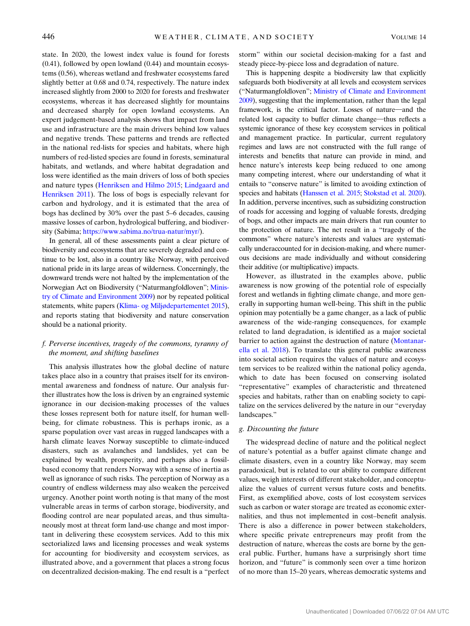state. In 2020, the lowest index value is found for forests (0.41), followed by open lowland (0.44) and mountain ecosystems (0.56), whereas wetland and freshwater ecosystems fared slightly better at 0.68 and 0.74, respectively. The nature index increased slightly from 2000 to 2020 for forests and freshwater ecosystems, whereas it has decreased slightly for mountains and decreased sharply for open lowland ecosystems. An expert judgement-based analysis shows that impact from land use and infrastructure are the main drivers behind low values and negative trends. These patterns and trends are reflected in the national red-lists for species and habitats, where high numbers of red-listed species are found in forests, seminatural habitats, and wetlands, and where habitat degradation and loss were identified as the main drivers of loss of both species and nature types [\(Henriksen and Hilmo 2015;](#page-9-0) [Lindgaard and](#page-10-0) [Henriksen 2011](#page-10-0)). The loss of bogs is especially relevant for carbon and hydrology, and it is estimated that the area of bogs has declined by 30% over the past 5–6 decades, causing massive losses of carbon, hydrological buffering, and biodiversity (Sabima; [https://www.sabima.no/trua-natur/myr/\)](https://www.sabima.no/trua-natur/myr/).

In general, all of these assessments paint a clear picture of biodiversity and ecosystems that are severely degraded and continue to be lost, also in a country like Norway, with perceived national pride in its large areas of wilderness. Concerningly, the downward trends were not halted by the implementation of the Norwegian Act on Biodiversity ("Naturmangfoldloven"; [Minis](#page-10-0)[try of Climate and Environment 2009\)](#page-10-0) nor by repeated political statements, white papers ([Klima- og Miljødepartementet 2015](#page-9-0)), and reports stating that biodiversity and nature conservation should be a national priority.

# f. Perverse incentives, tragedy of the commons, tyranny of the moment, and shifting baselines

This analysis illustrates how the global decline of nature takes place also in a country that praises itself for its environmental awareness and fondness of nature. Our analysis further illustrates how the loss is driven by an engrained systemic ignorance in our decision-making processes of the values these losses represent both for nature itself, for human wellbeing, for climate robustness. This is perhaps ironic, as a sparse population over vast areas in rugged landscapes with a harsh climate leaves Norway susceptible to climate-induced disasters, such as avalanches and landslides, yet can be explained by wealth, prosperity, and perhaps also a fossilbased economy that renders Norway with a sense of inertia as well as ignorance of such risks. The perception of Norway as a country of endless wilderness may also weaken the perceived urgency. Another point worth noting is that many of the most vulnerable areas in terms of carbon storage, biodiversity, and flooding control are near populated areas, and thus simultaneously most at threat form land-use change and most important in delivering these ecosystem services. Add to this mix sectorialized laws and licensing processes and weak systems for accounting for biodiversity and ecosystem services, as illustrated above, and a government that places a strong focus on decentralized decision-making. The end result is a "perfect

storm" within our societal decision-making for a fast and steady piece-by-piece loss and degradation of nature.

This is happening despite a biodiversity law that explicitly safeguards both biodiversity at all levels and ecosystem services ("Naturmangfoldloven"; [Ministry of Climate and Environment](#page-10-0) [2009\)](#page-10-0), suggesting that the implementation, rather than the legal framework, is the critical factor. Losses of nature—and the related lost capacity to buffer climate change—thus reflects a systemic ignorance of these key ecosystem services in political and management practice. In particular, current regulatory regimes and laws are not constructed with the full range of interests and benefits that nature can provide in mind, and hence nature's interests keep being reduced to one among many competing interest, where our understanding of what it entails to "conserve nature" is limited to avoiding extinction of species and habitats [\(Hanssen et al. 2015](#page-9-0); [Stokstad et al. 2020\)](#page-11-0). In addition, perverse incentives, such as subsidizing construction of roads for accessing and logging of valuable forests, dredging of bogs, and other impacts are main drivers that run counter to the protection of nature. The net result in a "tragedy of the commons" where nature's interests and values are systematically underaccounted for in decision-making, and where numerous decisions are made individually and without considering their additive (or multiplicative) impacts.

However, as illustrated in the examples above, public awareness is now growing of the potential role of especially forest and wetlands in fighting climate change, and more generally in supporting human well-being. This shift in the public opinion may potentially be a game changer, as a lack of public awareness of the wide-ranging consequences, for example related to land degradation, is identified as a major societal barrier to action against the destruction of nature ([Montanar](#page-10-0)[ella et al. 2018\)](#page-10-0). To translate this general public awareness into societal action requires the values of nature and ecosystem services to be realized within the national policy agenda, which to date has been focused on conserving isolated "representative" examples of characteristic and threatened species and habitats, rather than on enabling society to capitalize on the services delivered by the nature in our "everyday landscapes."

# g. Discounting the future

The widespread decline of nature and the political neglect of nature's potential as a buffer against climate change and climate disasters, even in a country like Norway, may seem paradoxical, but is related to our ability to compare different values, weigh interests of different stakeholder, and conceptualize the values of current versus future costs and benefits. First, as exemplified above, costs of lost ecosystem services such as carbon or water storage are treated as economic externalities, and thus not implemented in cost–benefit analysis. There is also a difference in power between stakeholders, where specific private entrepreneurs may profit from the destruction of nature, whereas the costs are borne by the general public. Further, humans have a surprisingly short time horizon, and "future" is commonly seen over a time horizon of no more than 15–20 years, whereas democratic systems and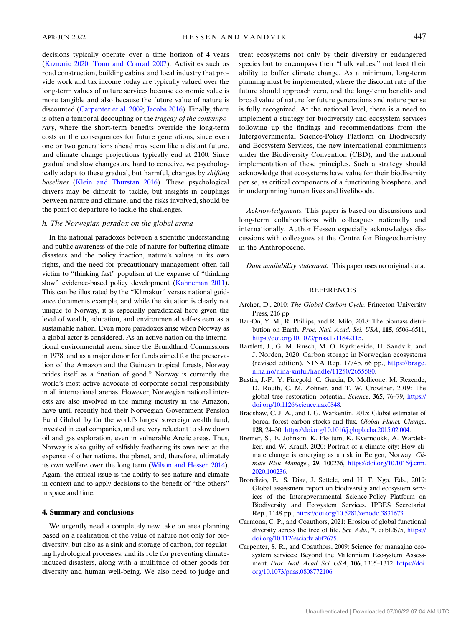<span id="page-8-0"></span>decisions typically operate over a time horizon of 4 years [\(Krznaric 2020](#page-10-0); [Tonn and Conrad 2007](#page-11-0)). Activities such as road construction, building cabins, and local industry that provide work and tax income today are typically valued over the long-term values of nature services because economic value is more tangible and also because the future value of nature is discounted (Carpenter et al. 2009; [Jacobs 2016](#page-9-0)). Finally, there is often a temporal decoupling or the tragedy of the contemporary, where the short-term benefits override the long-term costs or the consequences for future generations, since even one or two generations ahead may seem like a distant future, and climate change projections typically end at 2100. Since gradual and slow changes are hard to conceive, we psychologically adapt to these gradual, but harmful, changes by shifting baselines [\(Klein and Thurstan 2016](#page-9-0)). These psychological drivers may be difficult to tackle, but insights in couplings between nature and climate, and the risks involved, should be the point of departure to tackle the challenges.

## h. The Norwegian paradox on the global arena

In the national paradoxes between a scientific understanding and public awareness of the role of nature for buffering climate disasters and the policy inaction, nature's values in its own rights, and the need for precautionary management often fall victim to "thinking fast" populism at the expanse of "thinking slow" evidence-based policy development ([Kahneman 2011](#page-9-0)). This can be illustrated by the "Klimakur" versus national guidance documents example, and while the situation is clearly not unique to Norway, it is especially paradoxical here given the level of wealth, education, and environmental self-esteem as a sustainable nation. Even more paradoxes arise when Norway as a global actor is considered. As an active nation on the international environmental arena since the Brundtland Commissions in 1978, and as a major donor for funds aimed for the preservation of the Amazon and the Guinean tropical forests, Norway prides itself as a "nation of good." Norway is currently the world's most active advocate of corporate social responsibility in all international arenas. However, Norwegian national interests are also involved in the mining industry in the Amazon, have until recently had their Norwegian Government Pension Fund Global, by far the world's largest sovereign wealth fund, invested in coal companies, and are very reluctant to slow down oil and gas exploration, even in vulnerable Arctic areas. Thus, Norway is also guilty of selfishly feathering its own nest at the expense of other nations, the planet, and, therefore, ultimately its own welfare over the long term [\(Wilson and Hessen 2014](#page-11-0)). Again, the critical issue is the ability to see nature and climate in context and to apply decisions to the benefit of "the others" in space and time.

### 4. Summary and conclusions

We urgently need a completely new take on area planning based on a realization of the value of nature not only for biodiversity, but also as a sink and storage of carbon, for regulating hydrological processes, and its role for preventing climateinduced disasters, along with a multitude of other goods for diversity and human well-being. We also need to judge and

treat ecosystems not only by their diversity or endangered species but to encompass their "bulk values," not least their ability to buffer climate change. As a minimum, long-term planning must be implemented, where the discount rate of the future should approach zero, and the long-term benefits and broad value of nature for future generations and nature per se is fully recognized. At the national level, there is a need to implement a strategy for biodiversity and ecosystem services following up the findings and recommendations from the Intergovernmental Science-Policy Platform on Biodiversity and Ecosystem Services, the new international commitments under the Biodiversity Convention (CBD), and the national implementation of these principles. Such a strategy should acknowledge that ecosystems have value for their biodiversity per se, as critical components of a functioning biosphere, and in underpinning human lives and livelihoods.

Acknowledgments. This paper is based on discussions and long-term collaborations with colleagues nationally and internationally. Author Hessen especially acknowledges discussions with colleagues at the Centre for Biogeochemistry in the Anthropocene.

Data availability statement. This paper uses no original data.

# REFERENCES

- Archer, D., 2010: The Global Carbon Cycle. Princeton University Press, 216 pp.
- Bar-On, Y. M., R. Phillips, and R. Milo, 2018: The biomass distribution on Earth. Proc. Natl. Acad. Sci. USA, 115, 6506-6511, <https://doi.org/10.1073/pnas.1711842115>.
- Bartlett, J., G. M. Rusch, M. O. Kyrkjeeide, H. Sandvik, and J. Nordén, 2020: Carbon storage in Norwegian ecosystems (revised edition). NINA Rep. 1774b, 66 pp., [https://brage.](https://brage.nina.no/nina-xmlui/handle/11250/2655580) [nina.no/nina-xmlui/handle/11250/2655580](https://brage.nina.no/nina-xmlui/handle/11250/2655580).
- Bastin, J.-F., Y. Finegold, C. Garcia, D. Mollicone, M. Rezende, D. Routh, C. M. Zohner, and T. W. Crowther, 2019: The global tree restoration potential. Science, 365, 76–79, [https://](https://doi.org/10.1126/science.aax0848) [doi.org/10.1126/science.aax0848](https://doi.org/10.1126/science.aax0848).
- Bradshaw, C. J. A., and I. G. Warkentin, 2015: Global estimates of boreal forest carbon stocks and flux. Global Planet. Change, 128, 24–30, [https://doi.org/10.1016/j.gloplacha.2015.02.004.](https://doi.org/10.1016/j.gloplacha.2015.02.004)
- Bremer, S., E. Johnson, K. Fløttum, K. Kverndokk, A. Wardekker, and W. Krauß, 2020: Portrait of a climate city: How climate change is emerging as a risk in Bergen, Norway. Climate Risk Manage., 29, 100236, [https://doi.org/10.1016/j.crm.](https://doi.org/10.1016/j.crm.2020.100236) [2020.100236.](https://doi.org/10.1016/j.crm.2020.100236)
- Brondizio, E., S. Diaz, J. Settele, and H. T. Ngo, Eds., 2019: Global assessment report on biodiversity and ecosystem services of the Intergovernmental Science-Policy Platform on Biodiversity and Ecosystem Services. IPBES Secretariat Rep., 1148 pp., [https://doi.org/10.5281/zenodo.3831673.](https://doi.org/10.5281/zenodo.3831673)
- Carmona, C. P., and Coauthors, 2021: Erosion of global functional diversity across the tree of life. Sci. Adv., 7, eabf2675, [https://](https://doi.org/10.1126/sciadv.abf2675) [doi.org/10.1126/sciadv.abf2675.](https://doi.org/10.1126/sciadv.abf2675)
- Carpenter, S. R., and Coauthors, 2009: Science for managing ecosystem services: Beyond the Millennium Ecosystem Assessment. Proc. Natl. Acad. Sci. USA, 106, 1305-1312, [https://doi.](https://doi.org/10.1073/pnas.0808772106) [org/10.1073/pnas.0808772106.](https://doi.org/10.1073/pnas.0808772106)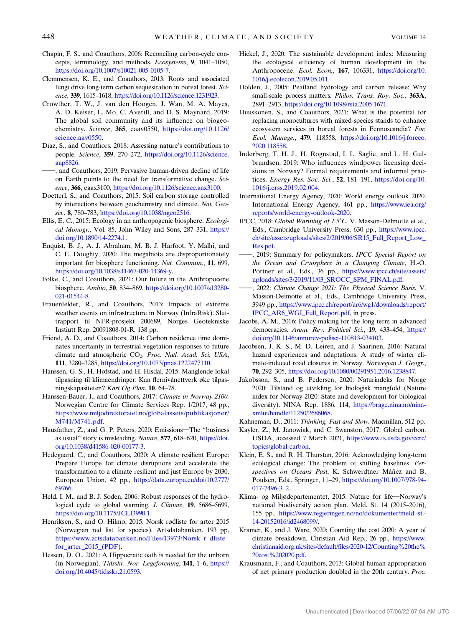- <span id="page-9-0"></span>Chapin, F. S., and Coauthors, 2006: Reconciling carbon-cycle concepts, terminology, and methods. Ecosystems, 9, 1041–1050, <https://doi.org/10.1007/s10021-005-0105-7>.
- Clemmensen, K. E., and Coauthors, 2013: Roots and associated fungi drive long-term carbon sequestration in boreal forest. Science, 339, 1615–1618, <https://doi.org/10.1126/science.1231923>.
- Crowther, T. W., J. van den Hoogen, J. Wan, M. A. Mayes, A. D. Keiser, L. Mo, C. Averill, and D. S. Maynard, 2019: The global soil community and its influence on biogeochemistry. Science, 365, eaav0550, [https://doi.org/10.1126/](https://doi.org/10.1126/science.aav0550) [science.aav0550.](https://doi.org/10.1126/science.aav0550)
- Díaz, S., and Coauthors, 2018: Assessing nature's contributions to people. Science, 359, 270–272, [https://doi.org/10.1126/science.](https://doi.org/10.1126/science.aap8826) [aap8826](https://doi.org/10.1126/science.aap8826).
- }}, and Coauthors, 2019: Pervasive human-driven decline of life on Earth points to the need for transformative change. Science, 366, eaax3100, <https://doi.org/10.1126/science.aax3100>.
- Doetterl, S., and Coauthors, 2015: Soil carbon storage controlled by interactions between geochemistry and climate. Nat. Geosci., 8, 780–783, <https://doi.org/10.1038/ngeo2516>.
- Ellis, E. C., 2015: Ecology in an anthropogenic biosphere. Ecological Monogr., Vol. 85, John Wiley and Sons, 287–331, [https://](https://doi.org/10.1890/14-2274.1) [doi.org/10.1890/14-2274.1](https://doi.org/10.1890/14-2274.1).
- Enquist, B. J., A. J. Abraham, M. B. J. Harfoot, Y. Malhi, and C. E. Doughty, 2020: The megabiota are disproportionately important for biosphere functioning. Nat. Commun., 11, 699, <https://doi.org/10.1038/s41467-020-14369-y>.
- Folke, C., and Coauthors, 2021: Our future in the Anthropocene biosphere. Ambio, 50, 834–869, [https://doi.org/10.1007/s13280-](https://doi.org/10.1007/s13280-021-01544-8) [021-01544-8.](https://doi.org/10.1007/s13280-021-01544-8)
- Frauenfelder, R., and Coauthors, 2013: Impacts of extreme weather events on infrastructure in Norway (InfraRisk). Sluttrapport til NFR-prosjekt 200689, Norges Geotekniske Instiutt Rep. 20091808-01-R, 138 pp.
- Friend, A. D., and Coauthors, 2014: Carbon residence time dominates uncertainty in terrestrial vegetation responses to future climate and atmospheric CO<sub>2</sub>. Proc. Natl. Acad. Sci. USA, 111, 3280–3285, <https://doi.org/10.1073/pnas.1222477110>.
- Hanssen, G. S., H. Hofstad, and H. Hisdal, 2015: Manglende lokal tilpasning til klimaendringer: Kan flernivånettverk øke tilpasningskapasiteten? Kart Og Plan, 10, 64–78.
- Hanssen-Bauer, I., and Coauthors, 2017: Climate in Norway 2100. Norwegian Centre for Climate Services Rep. 1/2017, 48 pp., [https://www.miljodirektoratet.no/globalassets/publikasjoner/](https://www.miljodirektoratet.no/globalassets/publikasjoner/M741/M741.pdf) [M741/M741.pdf](https://www.miljodirektoratet.no/globalassets/publikasjoner/M741/M741.pdf).
- Hausfather, Z., and G. P. Peters, 2020: Emissions-The "business as usual" story is misleading. Nature, 577, 618–620, [https://doi.](https://doi.org/10.1038/d41586-020-00177-3) [org/10.1038/d41586-020-00177-3](https://doi.org/10.1038/d41586-020-00177-3).
- Hedegaard, C., and Coauthors, 2020: A climate resilient Europe: Prepare Europe for climate disruptions and accelerate the transformation to a climate resilient and just Europe by 2030. European Union, 42 pp., [https://data.europa.eu/doi/10.2777/](https://data.europa.eu/doi/10.2777/69766) [69766](https://data.europa.eu/doi/10.2777/69766).
- Held, I. M., and B. J. Soden, 2006: Robust responses of the hydrological cycle to global warming. J. Climate, 19, 5686-5699, [https://doi.org/10.1175/JCLI3990.1.](https://doi.org/10.1175/JCLI3990.1)
- Henriksen, S., and O. Hilmo, 2015: Norsk rødliste for arter 2015 (Norwegian red list for species). Artsdatabanken, 193 pp, [https://www.artsdatabanken.no/Files/13973/Norsk\\_r\\_dliste\\_](https://doi.org/10.1175/JCLI3990.1) [for\\_arter\\_2015\\_\(PDF\)](https://doi.org/10.1175/JCLI3990.1).
- Hessen, D. O., 2021: A Hippocratic oath is needed for the unborn (in Norwegian). Tidsskr. Nor. Legeforening, 141, 1–6, [https://](https://doi.org/10.4045/tidsskr.21.0593) [doi.org/10.4045/tidsskr.21.0593.](https://doi.org/10.4045/tidsskr.21.0593)
- Hickel, J., 2020: The sustainable development index: Measuring the ecological efficiency of human development in the Anthropocene. Ecol. Econ., 167, 106331, [https://doi.org/10.](https://doi.org/10.1016/j.ecolecon.2019.05.011) [1016/j.ecolecon.2019.05.011.](https://doi.org/10.1016/j.ecolecon.2019.05.011)
- Holden, J., 2005: Peatland hydrology and carbon release: Why small-scale process matters. Philos. Trans. Roy. Soc., 363A, 2891–2913, <https://doi.org/10.1098/rsta.2005.1671>.
- Huuskonen, S., and Coauthors, 2021: What is the potential for replacing monocultures with mixed-species stands to enhance ecosystem services in boreal forests in Fennoscandia? For. Ecol. Manage., 479, 118558, [https://doi.org/10.1016/j.foreco.](https://doi.org/10.1016/j.foreco.2020.118558) [2020.118558.](https://doi.org/10.1016/j.foreco.2020.118558)
- Inderberg, T. H. J., H. Rognstad, I. L. Saglie, and L. H. Gulbrandsen, 2019: Who influences windpower licensing decisions in Norway? Formal requirements and informal practices. Energy Res. Soc. Sci., 52, 181-191, [https://doi.org/10.](https://doi.org/10.1016/j.erss.2019.02.004) [1016/j.erss.2019.02.004.](https://doi.org/10.1016/j.erss.2019.02.004)
- International Energy Agency, 2020: World energy outlook 2020. International Energy Agency, 461 pp., [https://www.iea.org/](https://www.iea.org/reports/world-energy-outlook-2020) [reports/world-energy-outlook-2020.](https://www.iea.org/reports/world-energy-outlook-2020)
- IPCC, 2018: Global Warming of 1.5°C. V. Masson-Delmotte et al., Eds., Cambridge University Press, 630 pp., [https://www.ipcc.](https://www.ipcc.ch/site/assets/uploads/sites/2/2019/06/SR15_Full_Report_Low_Res.pdf) [ch/site/assets/uploads/sites/2/2019/06/SR15\\_Full\\_Report\\_Low\\_](https://www.ipcc.ch/site/assets/uploads/sites/2/2019/06/SR15_Full_Report_Low_Res.pdf) [Res.pdf](https://www.ipcc.ch/site/assets/uploads/sites/2/2019/06/SR15_Full_Report_Low_Res.pdf).
- -, 2019: Summary for policymakers. IPCC Special Report on the Ocean and Cryosphere in a Changing Climate, H.-O. Pörtner et al., Eds., 36 pp., [https://www.ipcc.ch/site/assets/](https://www.ipcc.ch/site/assets/uploads/sites/3/2019/11/03_SROCC_SPM_FINAL.pdf) [uploads/sites/3/2019/11/03\\_SROCC\\_SPM\\_FINAL.pdf](https://www.ipcc.ch/site/assets/uploads/sites/3/2019/11/03_SROCC_SPM_FINAL.pdf).
- -, 2022: Climate Change 2021: The Physical Science Basis. V. Masson-Delmotte et al., Eds., Cambridge University Press, 3949 pp., [https://www.ipcc.ch/report/ar6/wg1/downloads/report/](https://www.ipcc.ch/report/ar6/wg1/downloads/report/IPCC_AR6_WGI_Full_Report.pdf) [IPCC\\_AR6\\_WGI\\_Full\\_Report.pdf,](https://www.ipcc.ch/report/ar6/wg1/downloads/report/IPCC_AR6_WGI_Full_Report.pdf) in press.
- Jacobs, A. M., 2016: Policy making for the long term in advanced democracies. Annu. Rev. Political Sci., 19, 433-454, [https://](https://doi.org/10.1146/annurev-polisci-110813-034103) [doi.org/10.1146/annurev-polisci-110813-034103](https://doi.org/10.1146/annurev-polisci-110813-034103).
- Jacobsen, J. K. S., M. D. Leiren, and J. Saarinen, 2016: Natural hazard experiences and adaptations: A study of winter climate-induced road closures in Norway. Norwegian J. Geogr., 70, 292–305, [https://doi.org/10.1080/00291951.2016.1238847.](https://doi.org/10.1080/00291951.2016.1238847)
- Jakobsson, S., and B. Pedersen, 2020: Naturindeks for Norge 2020: Tilstand og utvikling for biologisk mangfold (Nature index for Norway 2020: State and development for biological diversity). NINA Rep. 1886, 114, [https://brage.nina.no/nina](https://brage.nina.no/nina-xmlui/handle/11250/2686068)[xmlui/handle/11250/2686068.](https://brage.nina.no/nina-xmlui/handle/11250/2686068)

Kahneman, D., 2011: Thinking, Fast and Slow. Macmillan, 512 pp.

- Kayler, Z., M. Janowiak, and C. Swanston, 2017: Global carbon. USDA, accessed 7 March 2021, [https://www.fs.usda.gov/ccrc/](https://www.fs.usda.gov/ccrc/topics/global-carbon) [topics/global-carbon](https://www.fs.usda.gov/ccrc/topics/global-carbon).
- Klein, E. S., and R. H. Thurstan, 2016: Acknowledging long-term ecological change: The problem of shifting baselines. Perspectives on Oceans Past, K. Schwerdtner Máñez and B. Poulsen, Eds., Springer, 11–29, [https://doi.org/10.1007/978-94-](https://doi.org/10.1007/978-94-017-7496-3_2) [017-7496-3\\_2.](https://doi.org/10.1007/978-94-017-7496-3_2)
- Klima- og Miljødepartementet, 2015: Nature for life-Norway's national biodiversity action plan. Meld. St. 14 (2015–2016), 155 pp., [https://www.regjeringen.no/no/dokumenter/meld.-st.-](https://www.regjeringen.no/no/dokumenter/meld.-st.-14-20152016/id2468099/) [14-20152016/id2468099/](https://www.regjeringen.no/no/dokumenter/meld.-st.-14-20152016/id2468099/).
- Kramer, K., and J. Ware, 2020: Counting the cost 2020: A year of climate breakdown. Christian Aid Rep., 26 pp., [https://www.](https://www.christianaid.org.uk/sites/default/files/2020-12/Counting%20the%20cost%202020.pdf) [christianaid.org.uk/sites/default/](https://www.christianaid.org.uk/sites/default/files/2020-12/Counting%20the%20cost%202020.pdf)files/2020-12/Counting%20the% [20cost%202020.pdf.](https://www.christianaid.org.uk/sites/default/files/2020-12/Counting%20the%20cost%202020.pdf)
- Krausmann, F., and Coauthors, 2013: Global human appropriation of net primary production doubled in the 20th century. Proc.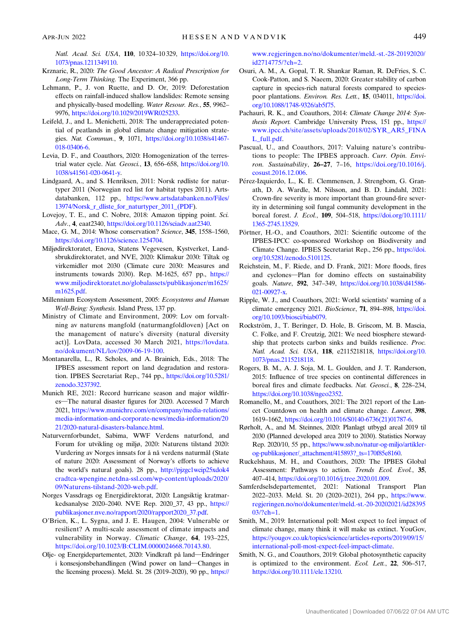<span id="page-10-0"></span>Natl. Acad. Sci. USA, 110, 10 324–10 329, [https://doi.org/10.](https://doi.org/10.1073/pnas.1211349110) [1073/pnas.1211349110](https://doi.org/10.1073/pnas.1211349110).

- Krznaric, R., 2020: The Good Ancestor: A Radical Prescription for Long-Term Thinking. The Experiment, 366 pp.
- Lehmann, P., J. von Ruette, and D. Or, 2019: Deforestation effects on rainfall-induced shallow landslides: Remote sensing and physically-based modelling. Water Resour. Res., 55, 9962– 9976, [https://doi.org/10.1029/2019WR025233.](https://doi.org/10.1029/2019WR025233)
- Leifeld, J., and L. Menichetti, 2018: The underappreciated potential of peatlands in global climate change mitigation strategies. Nat. Commun., 9, 1071, [https://doi.org/10.1038/s41467-](https://doi.org/10.1038/s41467-018-03406-6) [018-03406-6.](https://doi.org/10.1038/s41467-018-03406-6)
- Levia, D. F., and Coauthors, 2020: Homogenization of the terrestrial water cycle. Nat. Geosci., 13, 656–658, [https://doi.org/10.](https://doi.org/10.1038/s41561-020-0641-y) [1038/s41561-020-0641-y](https://doi.org/10.1038/s41561-020-0641-y).
- Lindgaard, A., and S. Henriksen, 2011: Norsk rødliste for naturtyper 2011 (Norwegian red list for habitat types 2011). Artsdatabanken, 112 pp., [https://www.artsdatabanken.no/Files/](https://doi.org/10.1038/s41561-020-0641-y) 13974/Norsk r dliste for naturtyper 2011 (PDF).
- Lovejoy, T. E., and C. Nobre, 2018: Amazon tipping point. Sci. Adv., 4, eaat2340, <https://doi.org/10.1126/sciadv.aat2340>.
- Mace, G. M., 2014: Whose conservation? Science, 345, 1558–1560, <https://doi.org/10.1126/science.1254704>.
- Miljødirektoratet, Enova, Statens Vegevesen, Kystverket, Landsbrukdirektoratet, and NVE, 2020: Klimakur 2030: Tiltak og virkemidler mot 2030 (Climate cure 2030: Measures and instruments towards 2030). Rep. M-1625, 657 pp., [https://](https://www.miljodirektoratet.no/globalassets/publikasjoner/m1625/m1625.pdf) [www.miljodirektoratet.no/globalassets/publikasjoner/m1625/](https://www.miljodirektoratet.no/globalassets/publikasjoner/m1625/m1625.pdf) [m1625.pdf.](https://www.miljodirektoratet.no/globalassets/publikasjoner/m1625/m1625.pdf)
- Millennium Ecosystem Assessment, 2005: Ecosystems and Human Well-Being: Synthesis. Island Press, 137 pp.
- Ministry of Climate and Environment, 2009: Lov om forvaltning av naturens mangfold (naturmangfoldloven) [Act on the management of nature's diversity (natural diversity act)]. LovData, accessed 30 March 2021, [https://lovdata.](https://lovdata.no/dokument/NL/lov/2009-06-19-100) [no/dokument/NL/lov/2009-06-19-100](https://lovdata.no/dokument/NL/lov/2009-06-19-100).
- Montanarella, L., R. Scholes, and A. Brainich, Eds., 2018: The IPBES assessment report on land degradation and restoration. IPBES Secretariat Rep., 744 pp., [https://doi.org/10.5281/](https://doi.org/10.5281/zenodo.3237392) [zenodo.3237392](https://doi.org/10.5281/zenodo.3237392).
- Munich RE, 2021: Record hurricane season and major wildfires-The natural disaster figures for 2020. Accessed 7 March 2021, [https://www.munichre.com/en/company/media-relations/](https://www.munichre.com/en/company/media-relations/media-information-and-corporate-news/media-information/2021/2020-natural-disasters-balance.html) [media-information-and-corporate-news/media-information/20](https://www.munichre.com/en/company/media-relations/media-information-and-corporate-news/media-information/2021/2020-natural-disasters-balance.html) [21/2020-natural-disasters-balance.html.](https://www.munichre.com/en/company/media-relations/media-information-and-corporate-news/media-information/2021/2020-natural-disasters-balance.html)
- Naturvernforbundet, Sabima, WWF Verdens naturfond, and Forum for utvikling og miljø, 2020: Naturens tilstand 2020: Vurdering av Norges innsats for å nå verdens naturmål (State of nature 2020: Assessment of Norway's efforts to achieve the world's natural goals). 28 pp., [http://pjzgc1wcip25xdok4](http://pjzgc1wcip25xdok4cradtca-wpengine.netdna-ssl.com/wp-content/uploads/2020/09/Naturens-tilstand-2020-web.pdf) [cradtca-wpengine.netdna-ssl.com/wp-content/uploads/2020/](http://pjzgc1wcip25xdok4cradtca-wpengine.netdna-ssl.com/wp-content/uploads/2020/09/Naturens-tilstand-2020-web.pdf) [09/Naturens-tilstand-2020-web.pdf](http://pjzgc1wcip25xdok4cradtca-wpengine.netdna-ssl.com/wp-content/uploads/2020/09/Naturens-tilstand-2020-web.pdf).
- Norges Vassdrags og Energidirektorat, 2020: Langsiktig kratmarkedsanalyse 2020–2040. NVE Rep. 2020\_37, 43 pp., [https://](https://publikasjoner.nve.no/rapport/2020/rapport2020_37.pdf) [publikasjoner.nve.no/rapport/2020/rapport2020\\_37.pdf](https://publikasjoner.nve.no/rapport/2020/rapport2020_37.pdf).
- O'Brien, K., L. Sygna, and J. E. Haugen, 2004: Vulnerable or resilient? A multi-scale assessment of climate impacts and vulnerability in Norway. Climatic Change, 64, 193-225, [https://doi.org/10.1023/B:CLIM.0000024668.70143.80.](https://doi.org/10.1023/B:CLIM.0000024668.70143.80)
- Olje- og Energidepartementet, 2020: Vindkraft på land-Endringer i konsesjonsbehandlingen (Wind power on land-Changes in the licensing process). Meld. St. 28 (2019–2020), 90 pp., [https://](https://www.regjeringen.no/no/dokumenter/meld.-st.-28-20192020/id2714775/?ch&hx003D;2)

[www.regjeringen.no/no/dokumenter/meld.-st.-28-20192020/](https://www.regjeringen.no/no/dokumenter/meld.-st.-28-20192020/id2714775/?ch&hx003D;2) [id2714775/?ch=2](https://www.regjeringen.no/no/dokumenter/meld.-st.-28-20192020/id2714775/?ch&hx003D;2).

- Osuri, A. M., A. Gopal, T. R. Shankar Raman, R. DeFries, S. C. Cook-Patton, and S. Naeem, 2020: Greater stability of carbon capture in species-rich natural forests compared to speciespoor plantations. Environ. Res. Lett., 15, 034011, [https://doi.](https://doi.org/10.1088/1748-9326/ab5f75) [org/10.1088/1748-9326/ab5f75.](https://doi.org/10.1088/1748-9326/ab5f75)
- Pachauri, R. K., and Coauthors, 2014: Climate Change 2014: Synthesis Report. Cambridge University Press, 151 pp., [https://](https://www.ipcc.ch/site/assets/uploads/2018/02/SYR_AR5_FINAL_full.pdf) [www.ipcc.ch/site/assets/uploads/2018/02/SYR\\_AR5\\_FINA](https://www.ipcc.ch/site/assets/uploads/2018/02/SYR_AR5_FINAL_full.pdf) [L\\_full.pdf](https://www.ipcc.ch/site/assets/uploads/2018/02/SYR_AR5_FINAL_full.pdf).
- Pascual, U., and Coauthors, 2017: Valuing nature's contributions to people: The IPBES approach. Curr. Opin. Environ. Sustainability, 26-27, 7-16, [https://doi.org/10.1016/j.](https://doi.org/10.1016/j.cosust.2016.12.006) [cosust.2016.12.006.](https://doi.org/10.1016/j.cosust.2016.12.006)
- Pérez-Izquierdo, L., K. E. Clemmensen, J. Strengbom, G. Granath, D. A. Wardle, M. Nilsson, and B. D. Lindahl, 2021: Crown-fire severity is more important than ground-fire severity in determining soil fungal community development in the boreal forest. J. Ecol., 109, 504–518, [https://doi.org/10.1111/](https://doi.org/10.1111/1365-2745.13529) [1365-2745.13529](https://doi.org/10.1111/1365-2745.13529).
- Pörtner, H.-O., and Coauthors, 2021: Scientific outcome of the IPBES-IPCC co-sponsored Workshop on Biodiversity and Climate Change. IPBES Secretariat Rep., 256 pp., [https://doi.](https://doi.org/10.5281/zenodo.5101125) [org/10.5281/zenodo.5101125](https://doi.org/10.5281/zenodo.5101125).
- Reichstein, M., F. Riede, and D. Frank, 2021: More floods, fires and cyclones-Plan for domino effects on sustainability goals. Nature, 592, 347-349, [https://doi.org/10.1038/d41586-](https://doi.org/10.1038/d41586-021-00927-x) [021-00927-x.](https://doi.org/10.1038/d41586-021-00927-x)
- Ripple, W. J., and Coauthors, 2021: World scientists' warning of a climate emergency 2021. BioScience, 71, 894-898, [https://doi.](https://doi.org/10.1093/biosci/biab079) [org/10.1093/biosci/biab079](https://doi.org/10.1093/biosci/biab079).
- Rockström, J., T. Beringer, D. Hole, B. Griscom, M. B. Mascia, C. Folke, and F. Creutzig, 2021: We need biosphere stewardship that protects carbon sinks and builds resilience. Proc. Natl. Acad. Sci. USA, 118, e2115218118, [https://doi.org/10.](https://doi.org/10.1073/pnas.2115218118) [1073/pnas.2115218118.](https://doi.org/10.1073/pnas.2115218118)
- Rogers, B. M., A. J. Soja, M. L. Goulden, and J. T. Randerson, 2015: Influence of tree species on continental differences in boreal fires and climate feedbacks. Nat. Geosci., 8, 228-234, [https://doi.org/10.1038/ngeo2352.](https://doi.org/10.1038/ngeo2352)
- Romanello, M., and Coauthors, 2021: The 2021 report of the Lancet Countdown on health and climate change. Lancet, 398, 1619–1662, [https://doi.org/10.1016/S0140-6736\(21\)01787-6](https://doi.org/10.1016/S0140-6736(21)01787-6).
- Rørholt, A., and M. Steinnes, 2020: Planlagt utbygd areal 2019 til 2030 (Planned developed area 2019 to 2030). Statistics Norway Rep. 2020/10, 55 pp., [https://www.ssb.no/natur-og-miljo/artikler](https://www.ssb.no/natur-og-miljo/artikler-og-publikasjoner/_attachment/415893?_ts&hx003D;170f85e8160)[og-publikasjoner/\\_attachment/415893?\\_ts=170f85e8160.](https://www.ssb.no/natur-og-miljo/artikler-og-publikasjoner/_attachment/415893?_ts&hx003D;170f85e8160)
- Ruckelshaus, M. H., and Coauthors, 2020: The IPBES Global Assessment: Pathways to action. Trends Ecol. Evol., 35, 407–414, <https://doi.org/10.1016/j.tree.2020.01.009>.
- Samferdselsdepartementet, 2021: National Transport Plan 2022–2033. Meld. St. 20 (2020–2021), 264 pp., [https://www.](https://www.regjeringen.no/no/dokumenter/meld.-st.-20-20202021/id2839503/?ch&hx003D;1) [regjeringen.no/no/dokumenter/meld.-st.-20-20202021/id28395](https://www.regjeringen.no/no/dokumenter/meld.-st.-20-20202021/id2839503/?ch&hx003D;1) [03/?ch=1.](https://www.regjeringen.no/no/dokumenter/meld.-st.-20-20202021/id2839503/?ch&hx003D;1)
- Smith, M., 2019: International poll: Most expect to feel impact of climate change, many think it will make us extinct. YouGov, [https://yougov.co.uk/topics/science/articles-reports/2019/09/15/](https://yougov.co.uk/topics/science/articles-reports/2019/09/15/international-poll-most-expect-feel-impact-climate) [international-poll-most-expect-feel-impact-climate](https://yougov.co.uk/topics/science/articles-reports/2019/09/15/international-poll-most-expect-feel-impact-climate).
- Smith, N. G., and Coauthors, 2019: Global photosynthetic capacity is optimized to the environment. Ecol. Lett., 22, 506-517, <https://doi.org/10.1111/ele.13210>.